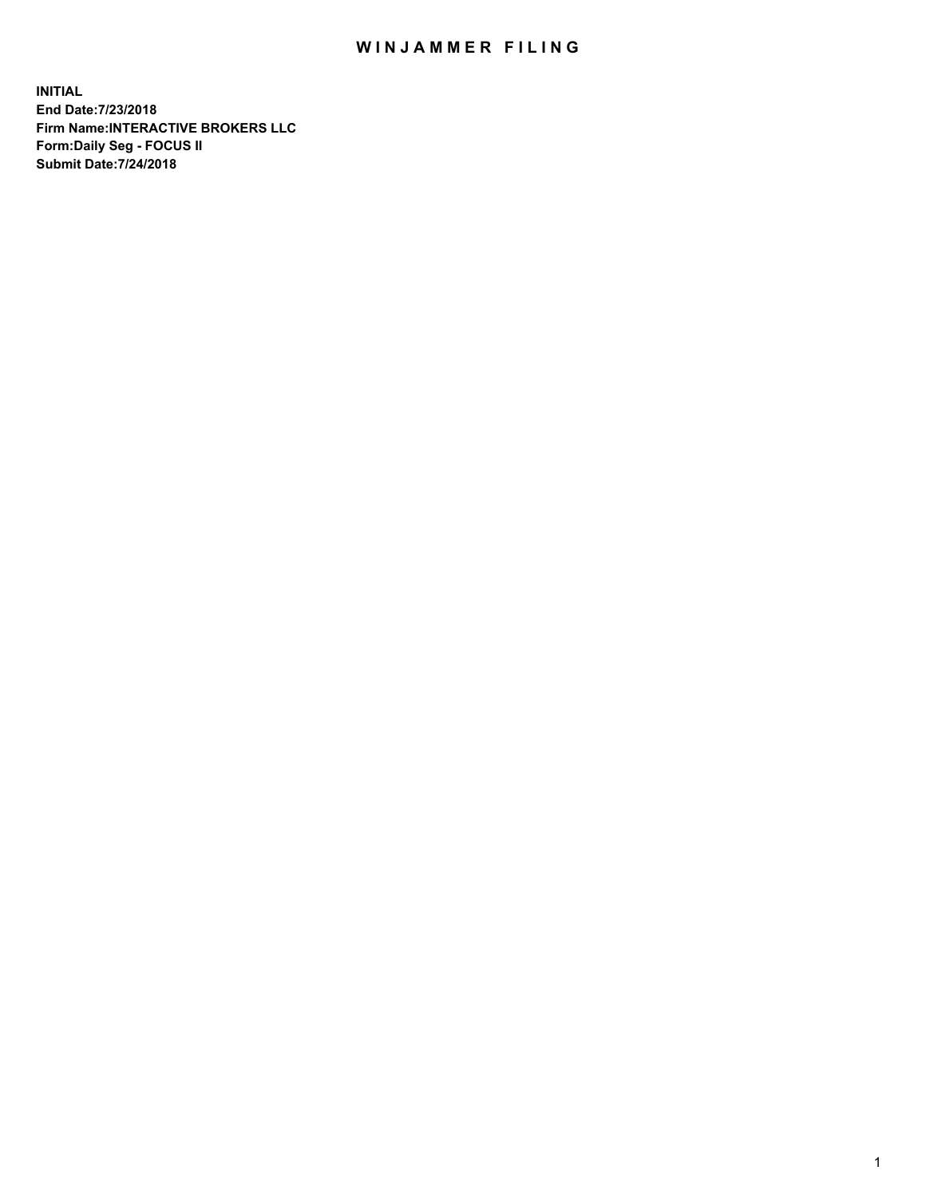## WIN JAMMER FILING

**INITIAL End Date:7/23/2018 Firm Name:INTERACTIVE BROKERS LLC Form:Daily Seg - FOCUS II Submit Date:7/24/2018**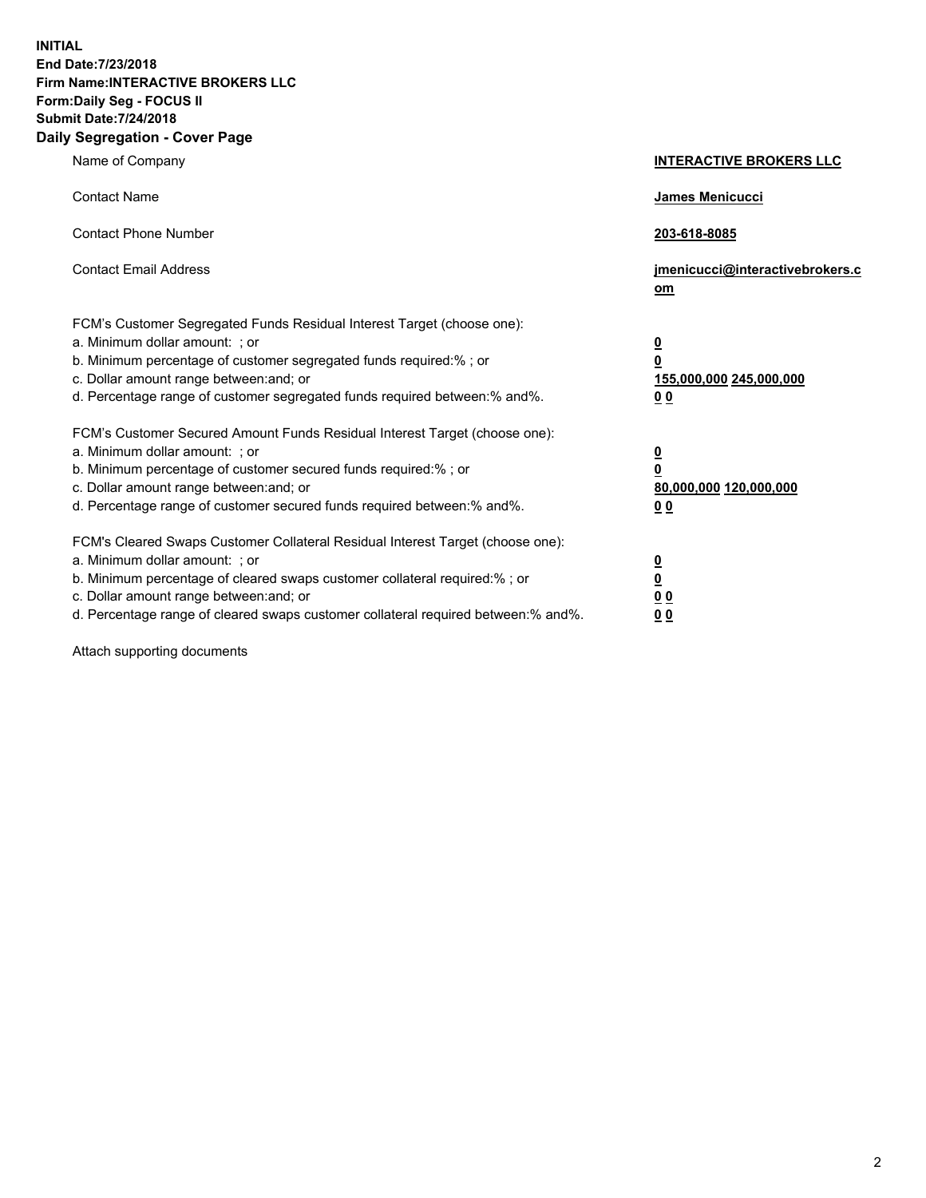**INITIAL End Date:7/23/2018 Firm Name:INTERACTIVE BROKERS LLC Form:Daily Seg - FOCUS II Submit Date:7/24/2018 Daily Segregation - Cover Page**

| Name of Company                                                                                                                                                                                                                                                                                                                | <b>INTERACTIVE BROKERS LLC</b>                                                                  |
|--------------------------------------------------------------------------------------------------------------------------------------------------------------------------------------------------------------------------------------------------------------------------------------------------------------------------------|-------------------------------------------------------------------------------------------------|
| <b>Contact Name</b>                                                                                                                                                                                                                                                                                                            | <b>James Menicucci</b>                                                                          |
| <b>Contact Phone Number</b>                                                                                                                                                                                                                                                                                                    | 203-618-8085                                                                                    |
| <b>Contact Email Address</b>                                                                                                                                                                                                                                                                                                   | jmenicucci@interactivebrokers.c<br>om                                                           |
| FCM's Customer Segregated Funds Residual Interest Target (choose one):<br>a. Minimum dollar amount: ; or<br>b. Minimum percentage of customer segregated funds required:% ; or<br>c. Dollar amount range between: and; or<br>d. Percentage range of customer segregated funds required between:% and%.                         | $\overline{\mathbf{0}}$<br>$\overline{\mathbf{0}}$<br>155,000,000 245,000,000<br>0 <sub>0</sub> |
| FCM's Customer Secured Amount Funds Residual Interest Target (choose one):<br>a. Minimum dollar amount: ; or<br>b. Minimum percentage of customer secured funds required:%; or<br>c. Dollar amount range between: and; or<br>d. Percentage range of customer secured funds required between:% and%.                            | <u>0</u><br>$\overline{\mathbf{0}}$<br>80,000,000 120,000,000<br>0 <sub>0</sub>                 |
| FCM's Cleared Swaps Customer Collateral Residual Interest Target (choose one):<br>a. Minimum dollar amount: ; or<br>b. Minimum percentage of cleared swaps customer collateral required:% ; or<br>c. Dollar amount range between: and; or<br>d. Percentage range of cleared swaps customer collateral required between:% and%. | $\overline{\mathbf{0}}$<br>$\underline{\mathbf{0}}$<br>0 <sub>0</sub><br>00                     |

Attach supporting documents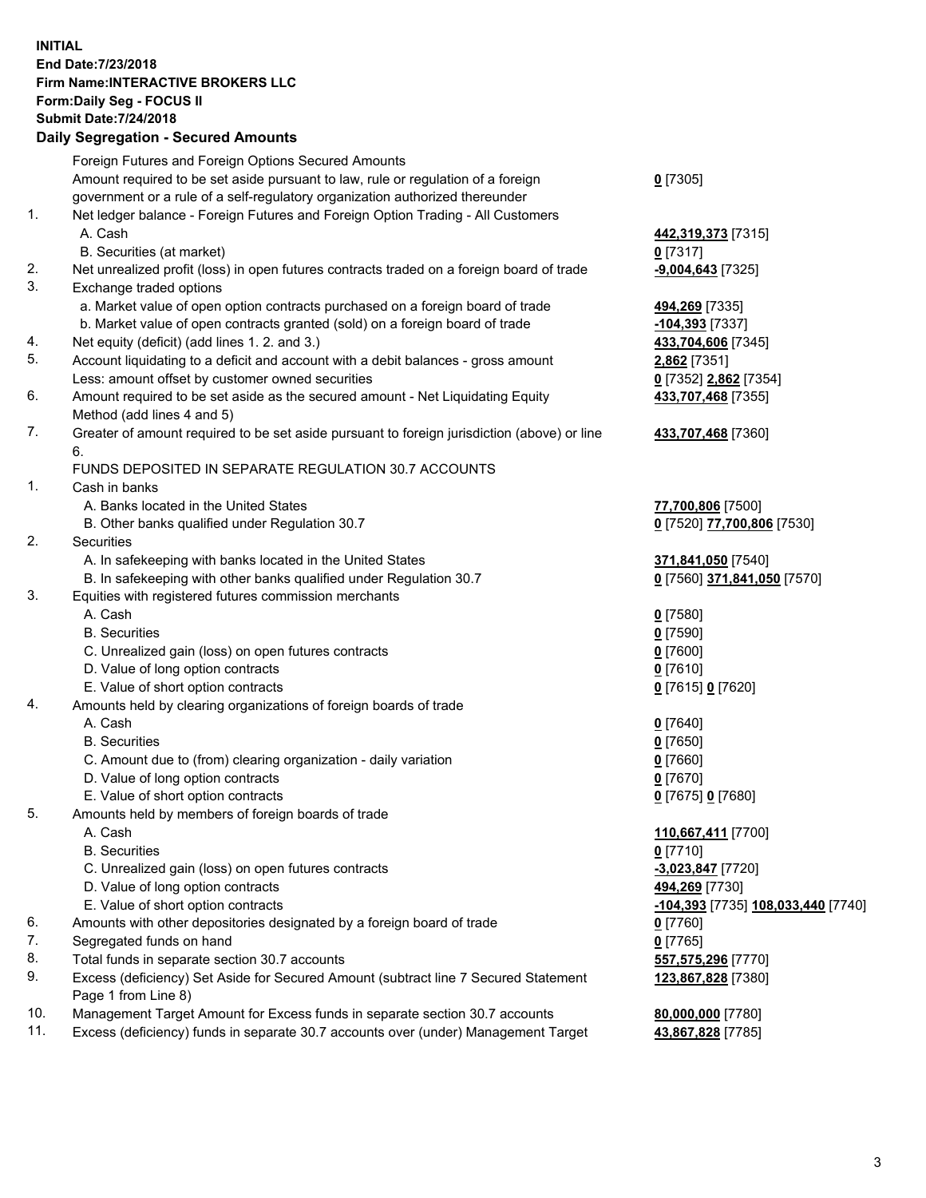## **INITIAL End Date:7/23/2018 Firm Name:INTERACTIVE BROKERS LLC Form:Daily Seg - FOCUS II Submit Date:7/24/2018 Daily Segregation - Secured Amounts**

|     | Daily Segregation - Secured Alliounts                                                       |                                                   |
|-----|---------------------------------------------------------------------------------------------|---------------------------------------------------|
|     | Foreign Futures and Foreign Options Secured Amounts                                         |                                                   |
|     | Amount required to be set aside pursuant to law, rule or regulation of a foreign            | $0$ [7305]                                        |
|     | government or a rule of a self-regulatory organization authorized thereunder                |                                                   |
| 1.  | Net ledger balance - Foreign Futures and Foreign Option Trading - All Customers             |                                                   |
|     | A. Cash                                                                                     | 442,319,373 [7315]                                |
|     | B. Securities (at market)                                                                   | $0$ [7317]                                        |
| 2.  | Net unrealized profit (loss) in open futures contracts traded on a foreign board of trade   | -9,004,643 <sup>[7325]</sup>                      |
| 3.  | Exchange traded options                                                                     |                                                   |
|     | a. Market value of open option contracts purchased on a foreign board of trade              | 494,269 [7335]                                    |
|     | b. Market value of open contracts granted (sold) on a foreign board of trade                | -104,393 [7337]                                   |
| 4.  | Net equity (deficit) (add lines 1. 2. and 3.)                                               | 433,704,606 [7345]                                |
| 5.  | Account liquidating to a deficit and account with a debit balances - gross amount           | 2,862 [7351]                                      |
|     | Less: amount offset by customer owned securities                                            | 0 [7352] 2,862 [7354]                             |
| 6.  | Amount required to be set aside as the secured amount - Net Liquidating Equity              | 433,707,468 [7355]                                |
|     | Method (add lines 4 and 5)                                                                  |                                                   |
| 7.  | Greater of amount required to be set aside pursuant to foreign jurisdiction (above) or line | 433,707,468 [7360]                                |
|     | 6.                                                                                          |                                                   |
|     | FUNDS DEPOSITED IN SEPARATE REGULATION 30.7 ACCOUNTS                                        |                                                   |
| 1.  | Cash in banks                                                                               |                                                   |
|     | A. Banks located in the United States                                                       | 77,700,806 [7500]                                 |
| 2.  | B. Other banks qualified under Regulation 30.7<br>Securities                                | 0 [7520] 77,700,806 [7530]                        |
|     | A. In safekeeping with banks located in the United States                                   |                                                   |
|     | B. In safekeeping with other banks qualified under Regulation 30.7                          | 371,841,050 [7540]<br>0 [7560] 371,841,050 [7570] |
| 3.  | Equities with registered futures commission merchants                                       |                                                   |
|     | A. Cash                                                                                     | $0$ [7580]                                        |
|     | <b>B.</b> Securities                                                                        | $0$ [7590]                                        |
|     | C. Unrealized gain (loss) on open futures contracts                                         | $0$ [7600]                                        |
|     | D. Value of long option contracts                                                           | $0$ [7610]                                        |
|     | E. Value of short option contracts                                                          | 0 [7615] 0 [7620]                                 |
| 4.  | Amounts held by clearing organizations of foreign boards of trade                           |                                                   |
|     | A. Cash                                                                                     | $0$ [7640]                                        |
|     | <b>B.</b> Securities                                                                        | $0$ [7650]                                        |
|     | C. Amount due to (from) clearing organization - daily variation                             | $0$ [7660]                                        |
|     | D. Value of long option contracts                                                           | $0$ [7670]                                        |
|     | E. Value of short option contracts                                                          | 0 [7675] 0 [7680]                                 |
| 5.  | Amounts held by members of foreign boards of trade                                          |                                                   |
|     | A. Cash                                                                                     | 110,667,411 [7700]                                |
|     | <b>B.</b> Securities                                                                        | $0$ [7710]                                        |
|     | C. Unrealized gain (loss) on open futures contracts                                         | $-3,023,847$ [7720]                               |
|     | D. Value of long option contracts                                                           | 494,269 [7730]                                    |
|     | E. Value of short option contracts                                                          | <u>-104,393</u> [7735] <u>108,033,440</u> [7740]  |
| 6.  | Amounts with other depositories designated by a foreign board of trade                      | $0$ [7760]                                        |
| 7.  | Segregated funds on hand                                                                    | $0$ [7765]                                        |
| 8.  | Total funds in separate section 30.7 accounts                                               | 557,575,296 [7770]                                |
| 9.  | Excess (deficiency) Set Aside for Secured Amount (subtract line 7 Secured Statement         | 123,867,828 [7380]                                |
|     | Page 1 from Line 8)                                                                         |                                                   |
| 10. | Management Target Amount for Excess funds in separate section 30.7 accounts                 | 80,000,000 [7780]                                 |
| 11. | Excess (deficiency) funds in separate 30.7 accounts over (under) Management Target          | 43,867,828 [7785]                                 |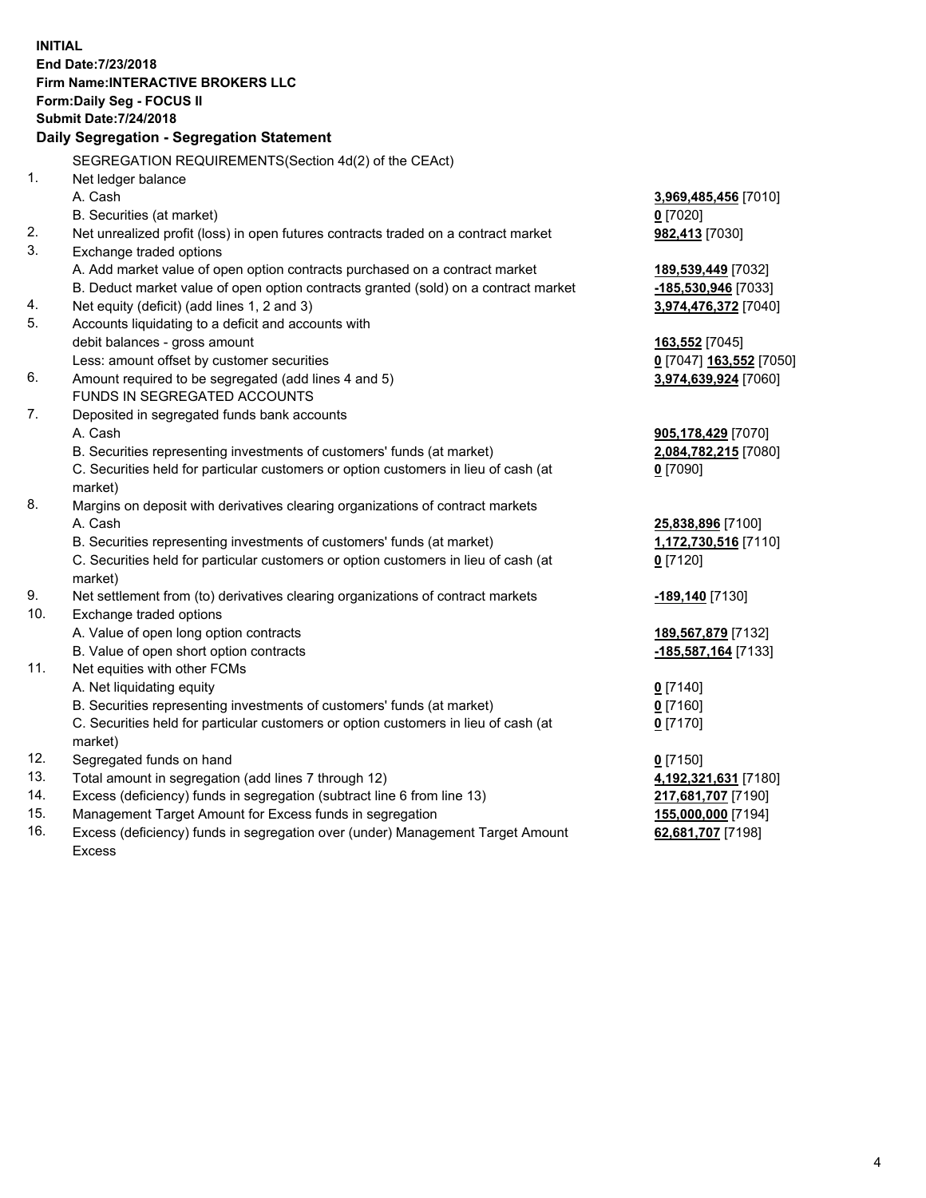**INITIAL End Date:7/23/2018 Firm Name:INTERACTIVE BROKERS LLC Form:Daily Seg - FOCUS II Submit Date:7/24/2018 Daily Segregation - Segregation Statement** SEGREGATION REQUIREMENTS(Section 4d(2) of the CEAct) 1. Net ledger balance A. Cash **3,969,485,456** [7010] B. Securities (at market) **0** [7020] 2. Net unrealized profit (loss) in open futures contracts traded on a contract market **982,413** [7030] 3. Exchange traded options A. Add market value of open option contracts purchased on a contract market **189,539,449** [7032] B. Deduct market value of open option contracts granted (sold) on a contract market **-185,530,946** [7033] 4. Net equity (deficit) (add lines 1, 2 and 3) **3,974,476,372** [7040] 5. Accounts liquidating to a deficit and accounts with debit balances - gross amount **163,552** [7045] Less: amount offset by customer securities **0** [7047] **163,552** [7050] 6. Amount required to be segregated (add lines 4 and 5) **3,974,639,924** [7060] FUNDS IN SEGREGATED ACCOUNTS 7. Deposited in segregated funds bank accounts A. Cash **905,178,429** [7070] B. Securities representing investments of customers' funds (at market) **2,084,782,215** [7080] C. Securities held for particular customers or option customers in lieu of cash (at market) **0** [7090] 8. Margins on deposit with derivatives clearing organizations of contract markets A. Cash **25,838,896** [7100] B. Securities representing investments of customers' funds (at market) **1,172,730,516** [7110] C. Securities held for particular customers or option customers in lieu of cash (at market) **0** [7120] 9. Net settlement from (to) derivatives clearing organizations of contract markets **-189,140** [7130] 10. Exchange traded options A. Value of open long option contracts **189,567,879** [7132] B. Value of open short option contracts **-185,587,164** [7133] 11. Net equities with other FCMs A. Net liquidating equity **0** [7140] B. Securities representing investments of customers' funds (at market) **0** [7160] C. Securities held for particular customers or option customers in lieu of cash (at market) **0** [7170] 12. Segregated funds on hand **0** [7150] 13. Total amount in segregation (add lines 7 through 12) **4,192,321,631** [7180] 14. Excess (deficiency) funds in segregation (subtract line 6 from line 13) **217,681,707** [7190] 15. Management Target Amount for Excess funds in segregation **155,000,000** [7194] **62,681,707** [7198]

16. Excess (deficiency) funds in segregation over (under) Management Target Amount Excess